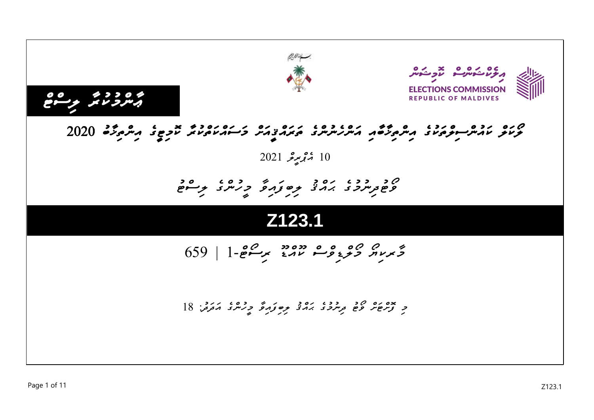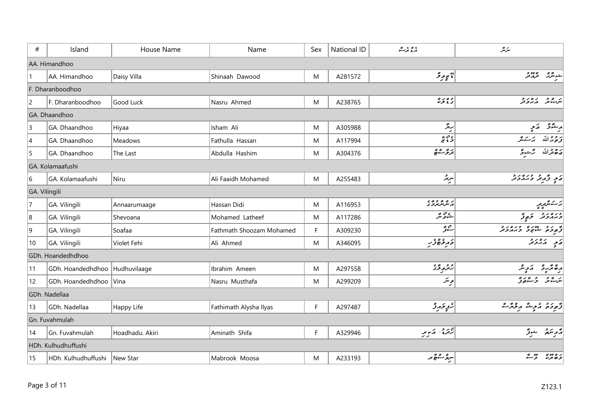| #              | Island                       | House Name      | Name                     | Sex         | National ID | ، ه ، ره<br>د ، برگ                       | ىئرىتر                                                                               |
|----------------|------------------------------|-----------------|--------------------------|-------------|-------------|-------------------------------------------|--------------------------------------------------------------------------------------|
|                | AA. Himandhoo                |                 |                          |             |             |                                           |                                                                                      |
|                | AA. Himandhoo                | Daisy Villa     | Shinaah Dawood           | ${\sf M}$   | A281572     | ۽ سپورگر                                  | پر دو و<br>تر <i>هر</i> تر<br>ے م <i>گر</i> <sup>2</sup>                             |
|                | F. Dharanboodhoo             |                 |                          |             |             |                                           |                                                                                      |
| $\overline{c}$ | F. Dharanboodhoo             | Good Luck       | Nasru Ahmed              | M           | A238765     | د ه بر ه<br>د ډغر                         | ش و ده ده د و                                                                        |
|                | GA. Dhaandhoo                |                 |                          |             |             |                                           |                                                                                      |
| 3              | GA. Dhaandhoo                | Hiyaa           | Isham Ali                | ${\sf M}$   | A305988     | رېژ                                       | ورشگر <sup>ی</sup> ورمو<br>ا <u>لرام ورمور</u><br>المومی <sup>2</sup> الله الرسکونګر |
| $\overline{A}$ | GA. Dhaandhoo                | Meadows         | Fathulla Hassan          | ${\sf M}$   | A117994     | 882                                       |                                                                                      |
| 5              | GA. Dhaandhoo                | The Last        | Abdulla Hashim           | ${\sf M}$   | A304376     | ىر ئۇ سەھ                                 | 20 مقرالله گرشوگر                                                                    |
|                | GA. Kolamaafushi             |                 |                          |             |             |                                           |                                                                                      |
| 6              | GA. Kolamaafushi             | Niru            | Ali Faaidh Mohamed       | ${\sf M}$   | A255483     | سرچر                                      | בֹצְ צְרְנִי לְמִלִינִי                                                              |
| GA. Vilingili  |                              |                 |                          |             |             |                                           |                                                                                      |
|                | GA. Vilingili                | Annaarumaage    | Hassan Didi              | ${\sf M}$   | A116953     | ر ۵ پر ۶ پر ۶<br>۸ سرسربر <del>۶</del> پر | ئەسەمىھرىر                                                                           |
| 8              | GA. Vilingili                | Shevoana        | Mohamed Latheef          | M           | A117286     | يەم ئىر<br>شوھ                            | ورورو توپور                                                                          |
| 9              | GA. Vilingili                | Soafaa          | Fathmath Shoozam Mohamed | $\mathsf F$ | A309230     | يتموسح                                    | 21012 0122 2123                                                                      |
| 10             | GA. Vilingili                | Violet Fehi     | Ali Ahmed                | ${\sf M}$   | A346095     | ءَ ٻر ڦوءِ س                              | ړې د پرورو                                                                           |
|                | GDh. Hoandedhdhoo            |                 |                          |             |             |                                           |                                                                                      |
| 11             | GDh. Hoandedhdhoo            | Hudhuvilaage    | Ibrahim Ameen            | ${\sf M}$   | A297558     | د و د پر<br>رند <sub>مو</sub> و د         | رە ئەر ئىچە                                                                          |
| 12             | GDh. Hoandedhdhoo Vina       |                 | Nasru Musthafa           | ${\sf M}$   | A299209     | حرمتر                                     | ش و د و د و د و                                                                      |
|                | GDh. Nadellaa                |                 |                          |             |             |                                           |                                                                                      |
| 13             | GDh. Nadellaa                | Happy Life      | Fathimath Alysha Ilyas   | F           | A297487     | <sup>ي</sup> بو <del>ت</del> رمر ژ        | ژُودَهُ کَرِیدٌ مِرْکَرَے                                                            |
|                | Gn. Fuvahmulah               |                 |                          |             |             |                                           |                                                                                      |
| 14             | Gn. Fuvahmulah               | Hoadhadu. Akiri | Aminath Shifa            | F           | A329946     | <br> ريموني- مرسميه                       | أأترجع أخوقر                                                                         |
|                | HDh. Kulhudhuffushi          |                 |                          |             |             |                                           |                                                                                      |
| 15             | HDh. Kulhudhuffushi New Star |                 | Mabrook Moosa            | M           | A233193     | سره څو شوځ پر                             | ر ه دده<br><del>و</del> تص بر ر<br>دو مح                                             |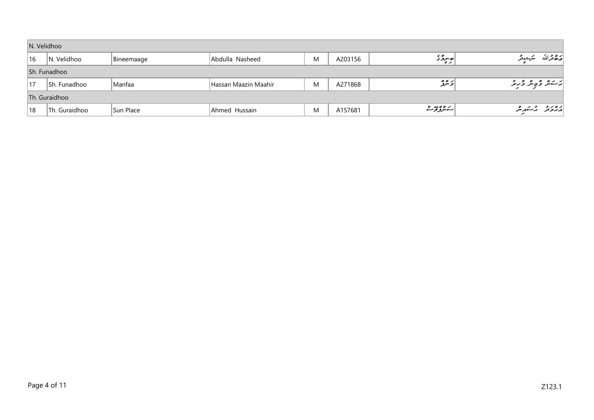| N. Velidhoo   |                     |            |                      |   |         |                  |                                      |
|---------------|---------------------|------------|----------------------|---|---------|------------------|--------------------------------------|
| 16            | IN. Velidhoo        | Bineemaage | Abdulla Nasheed      | M | A203156 | ە سرچ ي<br>رپ    | 20 مِرْاللّه سَرَسْب <sup>و</sup> رْ |
| Sh. Funadhoo  |                     |            |                      |   |         |                  |                                      |
| 17            | <b>Sh. Funadhoo</b> | Manfaa     | Hassan Maazin Maahir | M | A271868 | ىر ھۇ            | پرسکس وٌ پی ش وٌ ریز                 |
| Th. Guraidhoo |                     |            |                      |   |         |                  |                                      |
| 18            | Th. Guraidhoo       | Sun Place  | Ahmed Hussain        | M | A157681 | <u>ىرەە ،، ە</u> | دەرو جەسەر ش                         |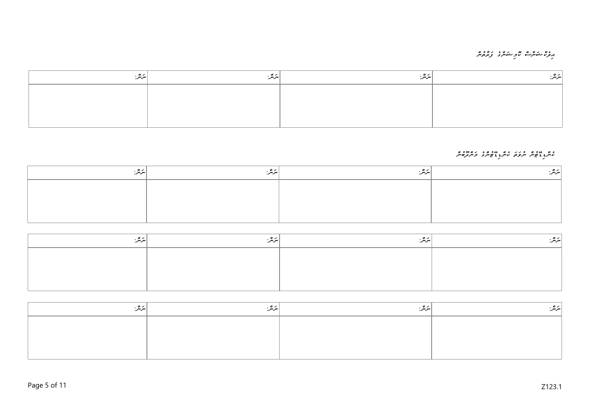## *w7qAn8m?sCw7mRo>u;wEw7mRw;sBo<*

| ' مرمر | 'يئرىثر: |
|--------|----------|
|        |          |
|        |          |
|        |          |

## *w7q9r@w7m>sCw7qHtFoFw7s;mAm=q7w7qHtFoFw7s;*

| ىر تە | $\mathcal{O} \times$<br>$\sim$ | $\sim$<br>. . | لترنثر |
|-------|--------------------------------|---------------|--------|
|       |                                |               |        |
|       |                                |               |        |
|       |                                |               |        |

| $\frac{2}{n}$ | $\overline{\phantom{a}}$ | اير هنه. | $\mathcal{O} \times$<br>سرسر |
|---------------|--------------------------|----------|------------------------------|
|               |                          |          |                              |
|               |                          |          |                              |
|               |                          |          |                              |

| ىرتىر: | 。<br>سر سر | .,<br>مرسر |
|--------|------------|------------|
|        |            |            |
|        |            |            |
|        |            |            |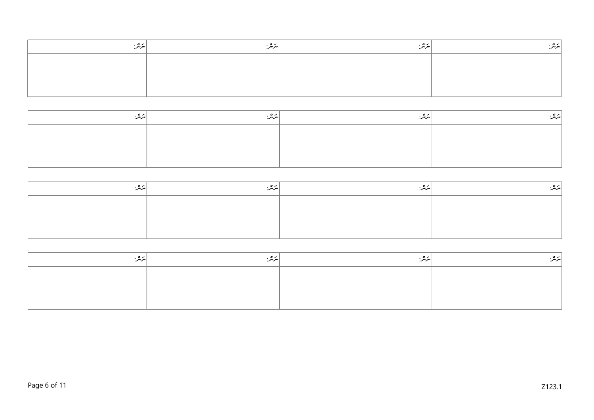| يزهر | $\mathcal{\mathcal{L}}$ | ىئرىتر: |  |
|------|-------------------------|---------|--|
|      |                         |         |  |
|      |                         |         |  |
|      |                         |         |  |

| متريثر به | 。<br>'سرسر'۔ | يتزيترا | سرسر |
|-----------|--------------|---------|------|
|           |              |         |      |
|           |              |         |      |
|           |              |         |      |

| ىئرىتر. | $\sim$ | ا بر هه. | لىرىش |
|---------|--------|----------|-------|
|         |        |          |       |
|         |        |          |       |
|         |        |          |       |

| يترمثر | $^{\circ}$ | ىر پىر |
|--------|------------|--------|
|        |            |        |
|        |            |        |
|        |            |        |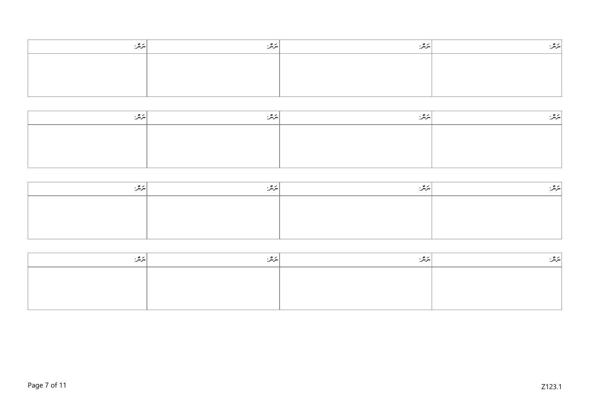| ير هو . | $\overline{\phantom{a}}$ | يرمر | اير هنه. |
|---------|--------------------------|------|----------|
|         |                          |      |          |
|         |                          |      |          |
|         |                          |      |          |

| ىر تىر: | $\circ$ $\sim$<br>" سرسر . | يبرحه | o . |
|---------|----------------------------|-------|-----|
|         |                            |       |     |
|         |                            |       |     |
|         |                            |       |     |

| 'تترنثر: | 。<br>,,,, |  |
|----------|-----------|--|
|          |           |  |
|          |           |  |
|          |           |  |

| 。 |  |  |
|---|--|--|
|   |  |  |
|   |  |  |
|   |  |  |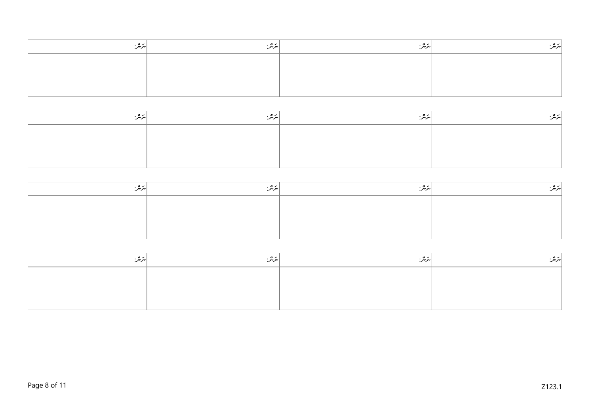| ير هو . | $\overline{\phantom{a}}$ | يرمر | اير هنه. |
|---------|--------------------------|------|----------|
|         |                          |      |          |
|         |                          |      |          |
|         |                          |      |          |

| ئىرتىر: | $\sim$<br>ا سرسر . | يئرمثر | o . |
|---------|--------------------|--------|-----|
|         |                    |        |     |
|         |                    |        |     |
|         |                    |        |     |

| انترنثر: | ر ه |  |
|----------|-----|--|
|          |     |  |
|          |     |  |
|          |     |  |

| $\overline{\phantom{a}}$<br>سرسر. |  |  |
|-----------------------------------|--|--|
|                                   |  |  |
|                                   |  |  |
|                                   |  |  |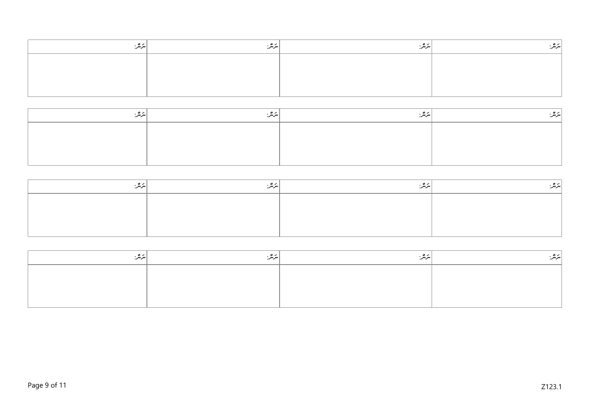| $\cdot$ | 。 | $\frac{\circ}{\cdot}$ | $\sim$<br>سرسر |
|---------|---|-----------------------|----------------|
|         |   |                       |                |
|         |   |                       |                |
|         |   |                       |                |

| يريثن | ' سرسر . |  |
|-------|----------|--|
|       |          |  |
|       |          |  |
|       |          |  |

| بر ه | 。 | $\sim$<br>َ سومس. |  |
|------|---|-------------------|--|
|      |   |                   |  |
|      |   |                   |  |
|      |   |                   |  |

| 。<br>. س | ىرىىر |  |
|----------|-------|--|
|          |       |  |
|          |       |  |
|          |       |  |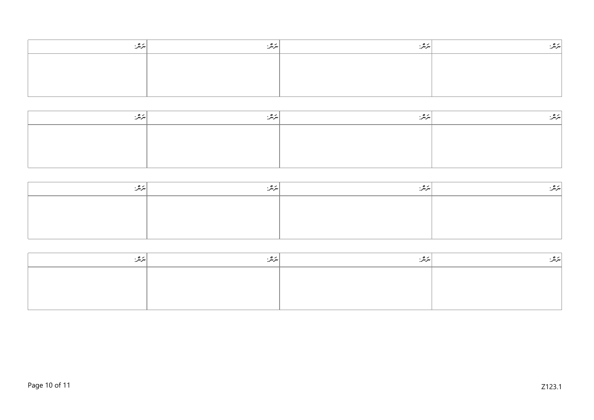| ير هو . | $\overline{\phantom{a}}$ | يرمر | اير هنه. |
|---------|--------------------------|------|----------|
|         |                          |      |          |
|         |                          |      |          |
|         |                          |      |          |

| ئىرتىر: | $\sim$<br>ا سرسر . | يئرمثر | o . |
|---------|--------------------|--------|-----|
|         |                    |        |     |
|         |                    |        |     |
|         |                    |        |     |

| نتزيتر به | 。 | 。<br>سرسر. | o <i>~</i> |
|-----------|---|------------|------------|
|           |   |            |            |
|           |   |            |            |
|           |   |            |            |

|  | . ه |
|--|-----|
|  |     |
|  |     |
|  |     |